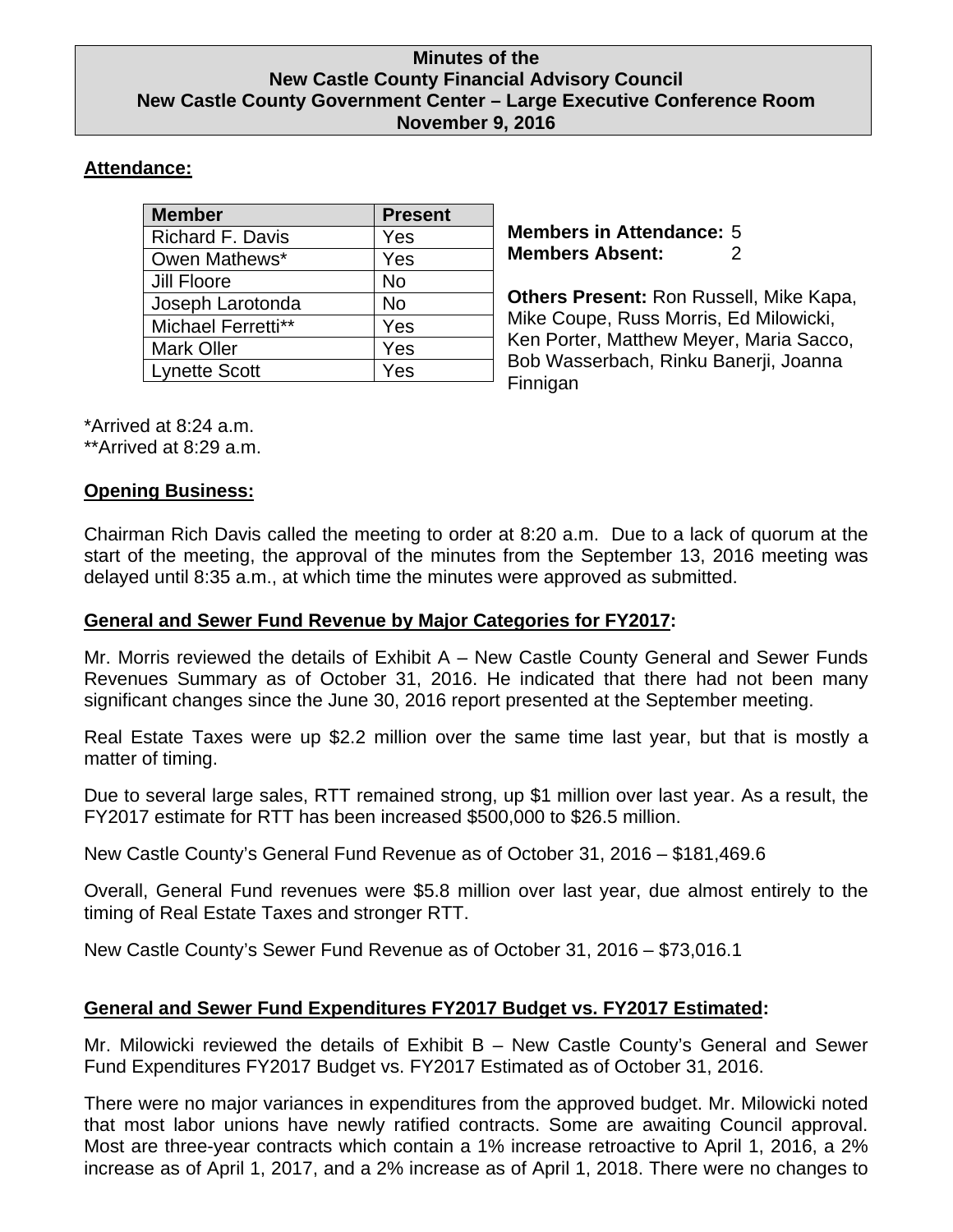#### **Minutes of the New Castle County Financial Advisory Council New Castle County Government Center – Large Executive Conference Room November 9, 2016**

## **Attendance:**

| <b>Member</b>           | <b>Present</b> |
|-------------------------|----------------|
| <b>Richard F. Davis</b> | Yes            |
| Owen Mathews*           | Yes            |
| <b>Jill Floore</b>      | <b>No</b>      |
| Joseph Larotonda        | <b>No</b>      |
| Michael Ferretti**      | Yes            |
| <b>Mark Oller</b>       | Yes            |
| <b>Lynette Scott</b>    | Yes            |

**Members in Attendance:** 5 **Members Absent:** 2

**Others Present:** Ron Russell, Mike Kapa, Mike Coupe, Russ Morris, Ed Milowicki, Ken Porter, Matthew Meyer, Maria Sacco, Bob Wasserbach, Rinku Banerji, Joanna Finnigan

\*Arrived at 8:24 a.m. \*\*Arrived at 8:29 a.m.

### **Opening Business:**

Chairman Rich Davis called the meeting to order at 8:20 a.m. Due to a lack of quorum at the start of the meeting, the approval of the minutes from the September 13, 2016 meeting was delayed until 8:35 a.m., at which time the minutes were approved as submitted.

## **General and Sewer Fund Revenue by Major Categories for FY2017:**

Mr. Morris reviewed the details of Exhibit A – New Castle County General and Sewer Funds Revenues Summary as of October 31, 2016. He indicated that there had not been many significant changes since the June 30, 2016 report presented at the September meeting.

Real Estate Taxes were up \$2.2 million over the same time last year, but that is mostly a matter of timing.

Due to several large sales, RTT remained strong, up \$1 million over last year. As a result, the FY2017 estimate for RTT has been increased \$500,000 to \$26.5 million.

New Castle County's General Fund Revenue as of October 31, 2016 – \$181,469.6

Overall, General Fund revenues were \$5.8 million over last year, due almost entirely to the timing of Real Estate Taxes and stronger RTT.

New Castle County's Sewer Fund Revenue as of October 31, 2016 – \$73,016.1

# **General and Sewer Fund Expenditures FY2017 Budget vs. FY2017 Estimated:**

Mr. Milowicki reviewed the details of Exhibit B – New Castle County's General and Sewer Fund Expenditures FY2017 Budget vs. FY2017 Estimated as of October 31, 2016.

There were no major variances in expenditures from the approved budget. Mr. Milowicki noted that most labor unions have newly ratified contracts. Some are awaiting Council approval. Most are three-year contracts which contain a 1% increase retroactive to April 1, 2016, a 2% increase as of April 1, 2017, and a 2% increase as of April 1, 2018. There were no changes to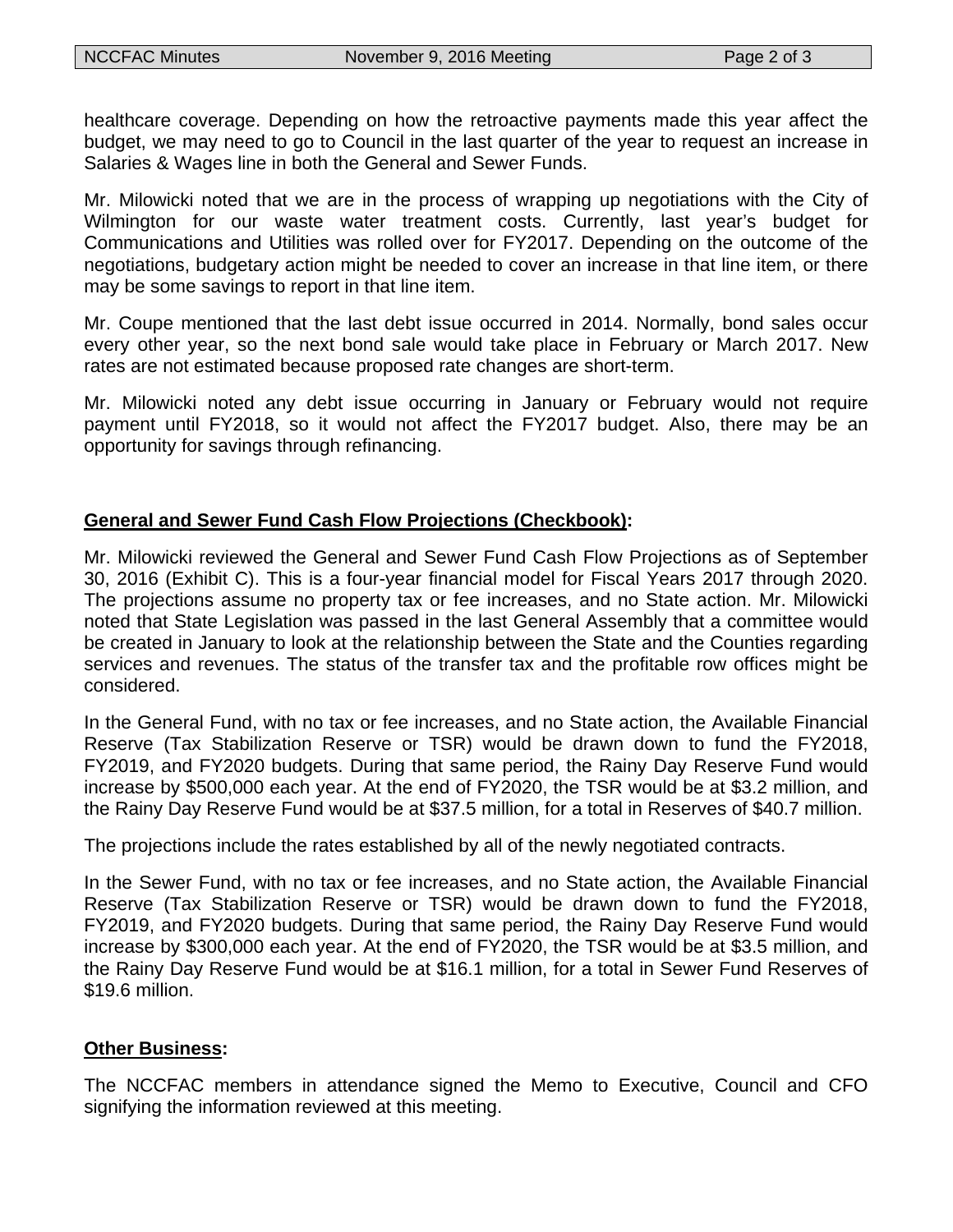healthcare coverage. Depending on how the retroactive payments made this year affect the budget, we may need to go to Council in the last quarter of the year to request an increase in Salaries & Wages line in both the General and Sewer Funds.

Mr. Milowicki noted that we are in the process of wrapping up negotiations with the City of Wilmington for our waste water treatment costs. Currently, last year's budget for Communications and Utilities was rolled over for FY2017. Depending on the outcome of the negotiations, budgetary action might be needed to cover an increase in that line item, or there may be some savings to report in that line item.

Mr. Coupe mentioned that the last debt issue occurred in 2014. Normally, bond sales occur every other year, so the next bond sale would take place in February or March 2017. New rates are not estimated because proposed rate changes are short-term.

Mr. Milowicki noted any debt issue occurring in January or February would not require payment until FY2018, so it would not affect the FY2017 budget. Also, there may be an opportunity for savings through refinancing.

### **General and Sewer Fund Cash Flow Projections (Checkbook):**

Mr. Milowicki reviewed the General and Sewer Fund Cash Flow Projections as of September 30, 2016 (Exhibit C). This is a four-year financial model for Fiscal Years 2017 through 2020. The projections assume no property tax or fee increases, and no State action. Mr. Milowicki noted that State Legislation was passed in the last General Assembly that a committee would be created in January to look at the relationship between the State and the Counties regarding services and revenues. The status of the transfer tax and the profitable row offices might be considered.

In the General Fund, with no tax or fee increases, and no State action, the Available Financial Reserve (Tax Stabilization Reserve or TSR) would be drawn down to fund the FY2018, FY2019, and FY2020 budgets. During that same period, the Rainy Day Reserve Fund would increase by \$500,000 each year. At the end of FY2020, the TSR would be at \$3.2 million, and the Rainy Day Reserve Fund would be at \$37.5 million, for a total in Reserves of \$40.7 million.

The projections include the rates established by all of the newly negotiated contracts.

In the Sewer Fund, with no tax or fee increases, and no State action, the Available Financial Reserve (Tax Stabilization Reserve or TSR) would be drawn down to fund the FY2018, FY2019, and FY2020 budgets. During that same period, the Rainy Day Reserve Fund would increase by \$300,000 each year. At the end of FY2020, the TSR would be at \$3.5 million, and the Rainy Day Reserve Fund would be at \$16.1 million, for a total in Sewer Fund Reserves of \$19.6 million.

#### **Other Business:**

The NCCFAC members in attendance signed the Memo to Executive, Council and CFO signifying the information reviewed at this meeting.